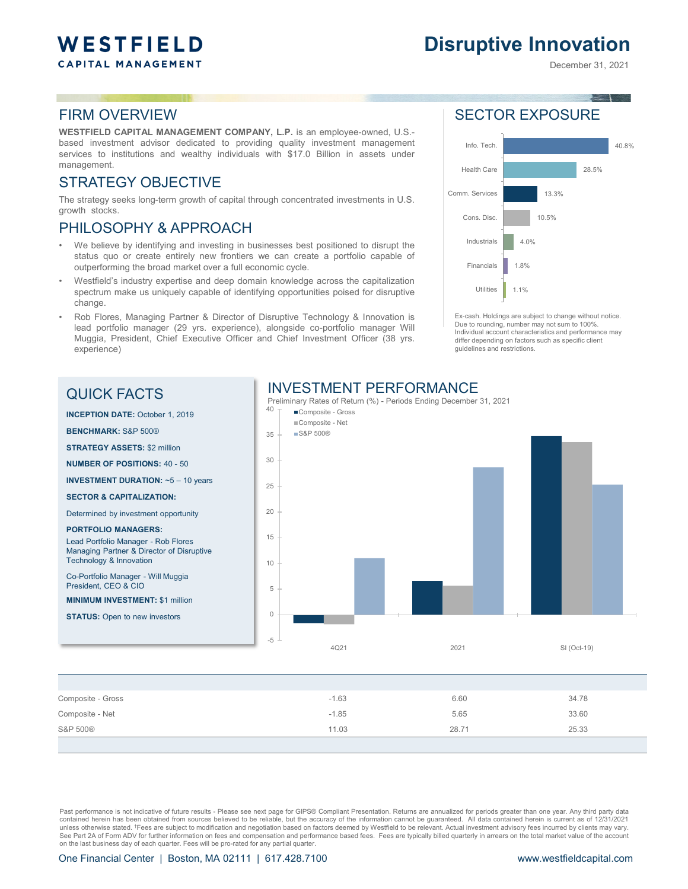# WESTFIELD **CAPITAL MANAGEMENT**

# **Disruptive Innovation**

December 31, 2021

#### FIRM OVERVIEW

**WESTFIELD CAPITAL MANAGEMENT COMPANY, L.P.** is an employee-owned, U.S. based investment advisor dedicated to providing quality investment management services to institutions and wealthy individuals with \$17.0 Billion in assets under management.

#### STRATEGY OBJECTIVE

The strategy seeks long-term growth of capital through concentrated investments in U.S. growth stocks.

#### PHILOSOPHY & APPROACH

- We believe by identifying and investing in businesses best positioned to disrupt the status quo or create entirely new frontiers we can create a portfolio capable of outperforming the broad market over a full economic cycle.
- Westfield's industry expertise and deep domain knowledge across the capitalization spectrum make us uniquely capable of identifying opportunities poised for disruptive change.
- Rob Flores, Managing Partner & Director of Disruptive Technology & Innovation is lead portfolio manager (29 yrs. experience), alongside co-portfolio manager Will Muggia, President, Chief Executive Officer and Chief Investment Officer (38 yrs. experience)

### SECTOR EXPOSURE



Ex-cash. Holdings are subject to change without notice. Due to rounding, number may not sum to 100%. Individual account characteristics and performance may differ depending on factors such as specific client guidelines and restrictions.

### QUICK FACTS

#### INVESTMENT PERFORMANCE



| Composite - Gross | $-1.63$ | 6.60  | 34.78 |
|-------------------|---------|-------|-------|
| Composite - Net   | $-1.85$ | 5.65  | 33.60 |
| S&P 500®          | 11.03   | 28.71 | 25.33 |
|                   |         |       |       |

Past performance is not indicative of future results - Please see next page for GIPS® Compliant Presentation. Returns are annualized for periods greater than one year. Any third party data contained herein has been obtained from sources believed to be reliable, but the accuracy of the information cannot be guaranteed. All data contained herein is current as of 12/31/2021 unless otherwise stated. †Fees are subject to modification and negotiation based on factors deemed by Westfield to be relevant. Actual investment advisory fees incurred by clients may vary. See Part 2A of Form ADV for further information on fees and compensation and performance based fees. Fees are typically billed quarterly in arrears on the total market value of the account on the last business day of each quarter. Fees will be pro-rated for any partial quarter.